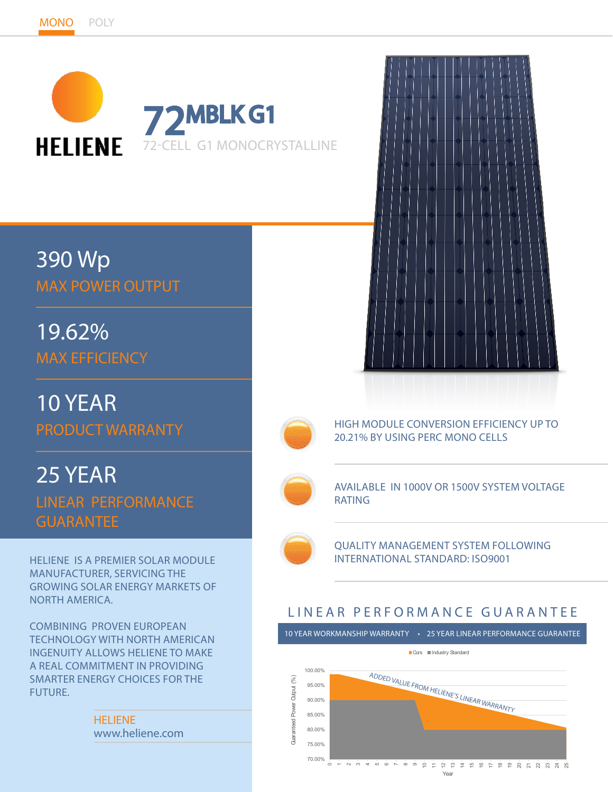

# 390 Wp MAX POWER OUTPUT

19.62% MAX EFFICIENCY

10 YEAR PRODUCT WARRANTY

25 YEAR LINEAR PERFORMANCE GUARANTEE

HELIENE IS A PREMIER SOLAR MODULE MANUFACTURER, SERVICING THE GROWING SOLAR ENERGY MARKETS OF NORTH AMERICA.

COMBINING PROVEN EUROPEAN TECHNOLOGY WITH NORTH AMERICAN INGENUITY ALLOWS HELIENE TO MAKE A REAL COMMITMENT IN PROVIDING SMARTER ENERGY CHOICES FOR THE FUTURE.

> HELIENE www.heliene.com





HIGH MODULE CONVERSION EFFICIENCY UP TO 20.21% BY USING PERC MONO CELLS



AVAILABLE IN 1000V OR 1500V SYSTEM VOLTAGE RATING



QUALITY MANAGEMENT SYSTEM FOLLOWING INTERNATIONAL STANDARD: ISO9001

# LINEAR PERFORMANCE GUARANTEE

10 YEAR WORKMANSHIP WARRANTY • 25 YEAR LINEAR PERFORMANCE GUARANTEE